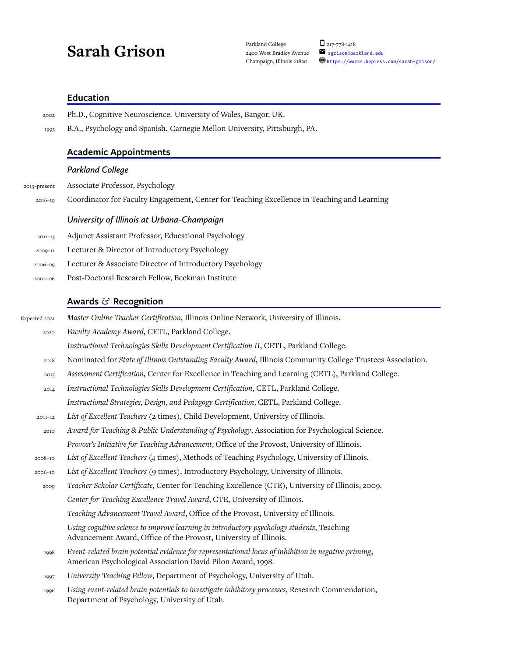# Sarah Grison Parkland College D<sub>217-778-1418</sub><br>2400 West Bradley Avenue Segrison@parkland.edu

# **Education**

| 2002          | Ph.D., Cognitive Neuroscience. University of Wales, Bangor, UK.                                                                                                     |
|---------------|---------------------------------------------------------------------------------------------------------------------------------------------------------------------|
| 1993          | B.A., Psychology and Spanish. Carnegie Mellon University, Pittsburgh, PA.                                                                                           |
|               | <b>Academic Appointments</b>                                                                                                                                        |
|               | <b>Parkland College</b>                                                                                                                                             |
| 2013-present  | Associate Professor, Psychology                                                                                                                                     |
| $2016 - 19$   | Coordinator for Faculty Engagement, Center for Teaching Excellence in Teaching and Learning                                                                         |
|               | University of Illinois at Urbana-Champaign                                                                                                                          |
| $2011 - 13$   | Adjunct Assistant Professor, Educational Psychology                                                                                                                 |
| 2009-11       | Lecturer & Director of Introductory Psychology                                                                                                                      |
| 2006-09       | Lecturer & Associate Director of Introductory Psychology                                                                                                            |
| $2002 - 06$   | Post-Doctoral Research Fellow, Beckman Institute                                                                                                                    |
|               | Awards & Recognition                                                                                                                                                |
| Expected 2021 | Master Online Teacher Certification, Illinois Online Network, University of Illinois.                                                                               |
| 2020          | Faculty Academy Award, CETL, Parkland College.                                                                                                                      |
|               | Instructional Technologies Skills Development Certification II, CETL, Parkland College.                                                                             |
| 2018          | Nominated for State of Illinois Outstanding Faculty Award, Illinois Community College Trustees Association.                                                         |
| 2015          | Assessment Certification, Center for Excellence in Teaching and Learning (CETL), Parkland College.                                                                  |
| 2014          | Instructional Technologies Skills Development Certification, CETL, Parkland College.                                                                                |
|               | Instructional Strategies, Design, and Pedagogy Certification, CETL, Parkland College.                                                                               |
| 2011-12       | List of Excellent Teachers (2 times), Child Development, University of Illinois.                                                                                    |
| 2010          | Award for Teaching & Public Understanding of Psychology, Association for Psychological Science.                                                                     |
|               | Provost's Initiative for Teaching Advancement, Office of the Provost, University of Illinois.                                                                       |
| 2008-10       | List of Excellent Teachers (4 times), Methods of Teaching Psychology, University of Illinois.                                                                       |
| 2006-10       | List of Excellent Teachers (9 times), Introductory Psychology, University of Illinois.                                                                              |
| 2009          | Teacher Scholar Certificate, Center for Teaching Excellence (CTE), University of Illinois, 2009.                                                                    |
|               | Center for Teaching Excellence Travel Award, CTE, University of Illinois.                                                                                           |
|               | Teaching Advancement Travel Award, Office of the Provost, University of Illinois.                                                                                   |
|               | Using cognitive science to improve learning in introductory psychology students, Teaching<br>Advancement Award, Office of the Provost, University of Illinois.      |
| 1998          | Event-related brain potential evidence for representational locus of inhibition in negative priming,<br>American Psychological Association David Pilon Award, 1998. |
| 1997          | University Teaching Fellow, Department of Psychology, University of Utah.                                                                                           |
| 1996          | Using event-related brain potentials to investigate inhibitory processes, Research Commendation,<br>Department of Psychology, University of Utah.                   |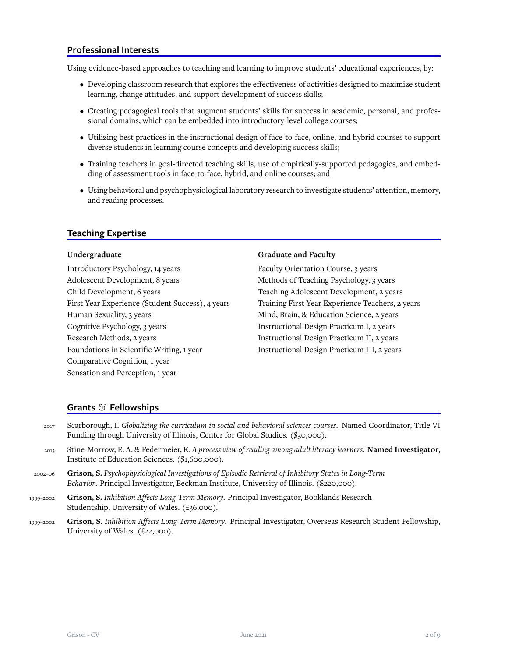# **Professional Interests**

Using evidence-based approaches to teaching and learning to improve students' educational experiences, by:

- Developing classroom research that explores the effectiveness of activities designed to maximize student learning, change attitudes, and support development of success skills;
- Creating pedagogical tools that augment students' skills for success in academic, personal, and professional domains, which can be embedded into introductory-level college courses;
- Utilizing best practices in the instructional design of face-to-face, online, and hybrid courses to support diverse students in learning course concepts and developing success skills;
- Training teachers in goal-directed teaching skills, use of empirically-supported pedagogies, and embedding of assessment tools in face-to-face, hybrid, and online courses; and
- Using behavioral and psychophysiological laboratory research to investigate students' attention, memory, and reading processes.

# **Teaching Expertise**

## **Undergraduate**

Introductory Psychology, 14 years Adolescent Development, 8 years Child Development, 6 years First Year Experience (Student Success), 4 years Human Sexuality, 3 years Cognitive Psychology, 3 years Research Methods, 2 years Foundations in Scientific Writing, 1 year Comparative Cognition, 1 year Sensation and Perception, 1 year

#### **Graduate and Faculty**

Faculty Orientation Course, 3 years Methods of Teaching Psychology, 3 years Teaching Adolescent Development, 2 years Training First Year Experience Teachers, 2 years Mind, Brain, & Education Science, 2 years Instructional Design Practicum I, 2 years Instructional Design Practicum II, 2 years Instructional Design Practicum III, 2 years

# **Grants** *&* **Fellowships**

- 2017 Scarborough, I. *Globalizing the curriculum in social and behavioral sciences courses*. Named Coordinator, Title VI Funding through University of Illinois, Center for Global Studies. (\$30,000).
- <sup>2013</sup> Stine-Morrow, E. A. & Federmeier, K. *A process view of reading among adult literacy learners*. **Named Investigator**, Institute of Education Sciences. (\$1,600,000).
- 2002–06 **Grison, S.** *Psychophysiological Investigations of Episodic Retrieval of Inhibitory States in Long-Term Behavior*. Principal Investigator, Beckman Institute, University of Illinois. (\$220,000).
- 1999–2002 **Grison, S.** *Inhibition Affects Long-Term Memory*. Principal Investigator, Booklands Research Studentship, University of Wales. (£36,000).
- 1999–2002 **Grison, S.** *Inhibition Affects Long-Term Memory*. Principal Investigator, Overseas Research Student Fellowship, University of Wales. (£22,000).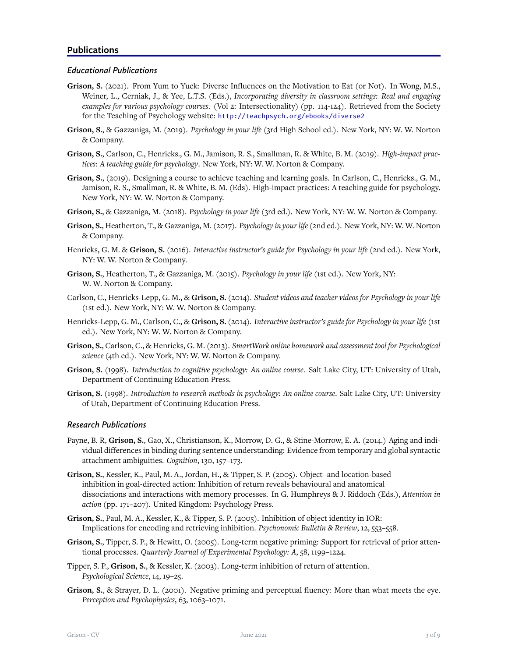# *Educational Publications*

- **Grison, S.** (2021). From Yum to Yuck: Diverse Influences on the Motivation to Eat (or Not). In Wong, M.S., Weiner, L., Cerniak, J., & Yee, L.T.S. (Eds.), *Incorporating diversity in classroom settings: Real and engaging examples for various psychology courses*. (Vol 2: Intersectionality) (pp. 114-124). Retrieved from the Society for the Teaching of Psychology website: http://teachpsych.org/ebooks/diverse2
- **Grison, S.**, & Gazzaniga, M. (2019). *Psychology in your life* (3rd High School ed.). New York, NY: W. W. Norton & Company.
- **Grison, S.**, Carlson, C., Henricks., G. M., Jamison, R. S., Smallman, R. & White, B. M. (2019). *High-impact practices: A teaching guide for psychology*. New York, NY: W. W. Norton & Company.
- **Grison, S.**, (2019). Designing a course to achieve teaching and learning goals. In Carlson, C., Henricks., G. M., Jamison, R. S., Smallman, R. & White, B. M. (Eds). High-impact practices: A teaching guide for psychology. New York, NY: W. W. Norton & Company.
- **Grison, S.**, & Gazzaniga, M. (2018). *Psychology in your life* (3rd ed.). New York, NY: W. W. Norton & Company.
- **Grison, S.**, Heatherton, T., & Gazzaniga, M. (2017). *Psychology in your life*(2nd ed.). New York, NY: W. W. Norton & Company.
- Henricks, G. M. & **Grison, S.** (2016). *Interactive instructor's guide for Psychology in your life* (2nd ed.). New York, NY: W. W. Norton & Company.
- **Grison, S.**, Heatherton, T., & Gazzaniga, M. (2015). *Psychology in your life* (1st ed.). New York, NY: W. W. Norton & Company.
- Carlson, C., Henricks-Lepp, G. M., & **Grison, S.** (2014). *Student videos and teacher videos for Psychology in your life* (1st ed.). New York, NY: W. W. Norton & Company.
- Henricks-Lepp, G. M., Carlson, C., & **Grison, S.** (2014). *Interactive instructor's guide for Psychology in your life* (1st ed.). New York, NY: W. W. Norton & Company.
- **Grison, S.**, Carlson, C., & Henricks, G. M. (2013). *SmartWork online homework and assessment tool for Psychological science* (4th ed.). New York, NY: W. W. Norton & Company.
- **Grison, S.** (1998). *Introduction to cognitive psychology: An online course*. Salt Lake City, UT: University of Utah, Department of Continuing Education Press.
- **Grison, S.** (1998). *Introduction to research methods in psychology: An online course*. Salt Lake City, UT: University of Utah, Department of Continuing Education Press.

# *Research Publications*

- Payne, B. R, **Grison, S.**, Gao, X., Christianson, K., Morrow, D. G., & Stine-Morrow, E. A. (2014.) Aging and individual differences in binding during sentence understanding: Evidence from temporary and global syntactic attachment ambiguities. *Cognition*, 130, 157–173.
- **Grison, S.**, Kessler, K., Paul, M. A., Jordan, H., & Tipper, S. P. (2005). Object- and location-based inhibition in goal-directed action: Inhibition of return reveals behavioural and anatomical dissociations and interactions with memory processes. In G. Humphreys & J. Riddoch (Eds.), *Attention in action* (pp. 171–207). United Kingdom: Psychology Press.
- **Grison, S.**, Paul, M. A., Kessler, K., & Tipper, S. P. (2005). Inhibition of object identity in IOR: Implications for encoding and retrieving inhibition. *Psychonomic Bulletin & Review*, 12, 553–558.
- **Grison, S.**, Tipper, S. P., & Hewitt, O. (2005). Long-term negative priming: Support for retrieval of prior attentional processes. *Quarterly Journal of Experimental Psychology: A*, 58, 1199–1224.
- Tipper, S. P., **Grison, S.**, & Kessler, K. (2003). Long-term inhibition of return of attention. *Psychological Science*, 14, 19–25.
- **Grison, S.**, & Strayer, D. L. (2001). Negative priming and perceptual fluency: More than what meets the eye. *Perception and Psychophysics*, 63, 1063–1071.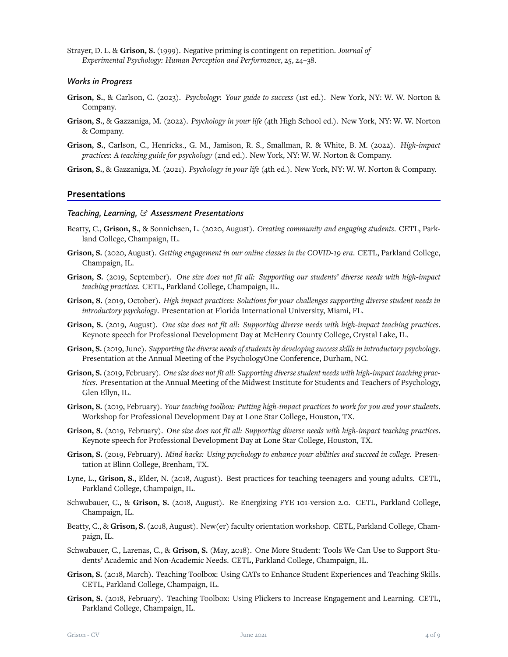Strayer, D. L. & **Grison, S.** (1999). Negative priming is contingent on repetition. *Journal of Experimental Psychology: Human Perception and Performance*, 25, 24–38.

# *Works in Progress*

- **Grison, S.**, & Carlson, C. (2023). *Psychology: Your guide to success* (1st ed.). New York, NY: W. W. Norton & Company.
- **Grison, S.**, & Gazzaniga, M. (2022). *Psychology in your life* (4th High School ed.). New York, NY: W. W. Norton & Company.
- **Grison, S.**, Carlson, C., Henricks., G. M., Jamison, R. S., Smallman, R. & White, B. M. (2022). *High-impact practices: A teaching guide for psychology* (2nd ed.). New York, NY: W. W. Norton & Company.
- **Grison, S.**, & Gazzaniga, M. (2021). *Psychology in your life* (4th ed.). New York, NY: W. W. Norton & Company.

## **Presentations**

#### *Teaching, Learning, & Assessment Presentations*

- Beatty, C., **Grison, S.**, & Sonnichsen, L. (2020, August). *Creating community and engaging students*. CETL, Parkland College, Champaign, IL.
- **Grison, S.** (2020, August). *Getting engagement in our online classes in the COVID-19 era*. CETL, Parkland College, Champaign, IL.
- **Grison, S.** (2019, September). *One size does not fit all: Supporting our students' diverse needs with high-impact teaching practices*. CETL, Parkland College, Champaign, IL.
- **Grison, S.** (2019, October). *High impact practices: Solutions for your challenges supporting diverse student needs in introductory psychology*. Presentation at Florida International University, Miami, FL.
- **Grison, S.** (2019, August). *One size does not fit all: Supporting diverse needs with high-impact teaching practices*. Keynote speech for Professional Development Day at McHenry County College, Crystal Lake, IL.
- **Grison, S.**(2019, June). *Supporting the diverse needs of students by developing success skills in introductory psychology*. Presentation at the Annual Meeting of the PsychologyOne Conference, Durham, NC.
- **Grison, S.**(2019, February). *One size does not fit all: Supporting diverse student needs with high-impact teaching practices*. Presentation at the Annual Meeting of the Midwest Institute for Students and Teachers of Psychology, Glen Ellyn, IL.
- **Grison, S.** (2019, February). *Your teaching toolbox: Putting high-impact practices to work for you and your students*. Workshop for Professional Development Day at Lone Star College, Houston, TX.
- **Grison, S.** (2019, February). *One size does not fit all: Supporting diverse needs with high-impact teaching practices*. Keynote speech for Professional Development Day at Lone Star College, Houston, TX.
- **Grison, S.** (2019, February). *Mind hacks: Using psychology to enhance your abilities and succeed in college*. Presentation at Blinn College, Brenham, TX.
- Lyne, L., **Grison, S.**, Elder, N. (2018, August). Best practices for teaching teenagers and young adults. CETL, Parkland College, Champaign, IL.
- Schwabauer, C., & **Grison, S.** (2018, August). Re-Energizing FYE 101-version 2.0. CETL, Parkland College, Champaign, IL.
- Beatty, C., & **Grison, S.** (2018, August). New(er) faculty orientation workshop. CETL, Parkland College, Champaign, IL.
- Schwabauer, C., Larenas, C., & **Grison, S.** (May, 2018). One More Student: Tools We Can Use to Support Students' Academic and Non-Academic Needs. CETL, Parkland College, Champaign, IL.
- **Grison, S.** (2018, March). Teaching Toolbox: Using CATs to Enhance Student Experiences and Teaching Skills. CETL, Parkland College, Champaign, IL.
- **Grison, S.** (2018, February). Teaching Toolbox: Using Plickers to Increase Engagement and Learning. CETL, Parkland College, Champaign, IL.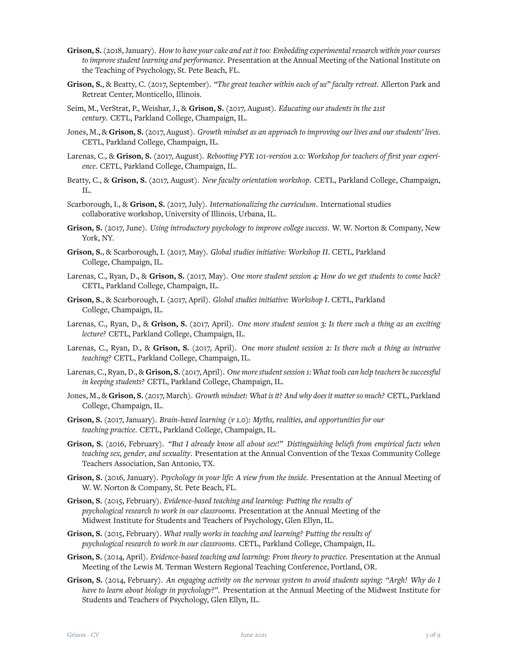- **Grison, S.**(2018, January). *How to have your cake and eat it too: Embedding experimental research within your courses to improve student learning and performance*. Presentation at the Annual Meeting of the National Institute on the Teaching of Psychology, St. Pete Beach, FL.
- **Grison, S.**, & Beatty, C. (2017, September). *"The great teacher within each of us" faculty retreat*. Allerton Park and Retreat Center, Monticello, Illinois.
- Seim, M., VerStrat, P., Weishar, J., & **Grison, S.** (2017, August). *Educating our students in the 21st century*. CETL, Parkland College, Champaign, IL.
- Jones, M., & **Grison, S.**(2017, August). *Growth mindset as an approach to improving our lives and our students' lives*. CETL, Parkland College, Champaign, IL.
- Larenas, C., & **Grison, S.** (2017, August). *Rebooting FYE 101-version 2.0: Workshop for teachers of first year experience*. CETL, Parkland College, Champaign, IL.
- Beatty, C., & **Grison, S.** (2017, August). *New faculty orientation workshop*. CETL, Parkland College, Champaign, IL.
- Scarborough, I., & **Grison, S.** (2017, July). *Internationalizing the curriculum*. International studies collaborative workshop, University of Illinois, Urbana, IL.
- **Grison, S.** (2017, June). *Using introductory psychology to improve college success*. W. W. Norton & Company, New York, NY.
- **Grison, S.**, & Scarborough, I. (2017, May). *Global studies initiative: Workshop II*. CETL, Parkland College, Champaign, IL.
- Larenas, C., Ryan, D., & **Grison, S.** (2017, May). *One more student session 4: How do we get students to come back?* CETL, Parkland College, Champaign, IL.
- **Grison, S.**, & Scarborough, I. (2017, April). *Global studies initiative: Workshop I*. CETL, Parkland College, Champaign, IL.
- Larenas, C., Ryan, D., & **Grison, S.** (2017, April). *One more student session 3: Is there such a thing as an exciting lecture?* CETL, Parkland College, Champaign, IL.
- Larenas, C., Ryan, D., & **Grison, S.** (2017, April). *One more student session 2: Is there such a thing as intrusive teaching?* CETL, Parkland College, Champaign, IL.
- Larenas, C., Ryan, D., & **Grison, S.**(2017, April). *One more student session 1: What tools can help teachers be successful in keeping students?* CETL, Parkland College, Champaign, IL.
- Jones, M., & **Grison, S.**(2017, March). *Growth mindset: What is it? And why does it matter so much?* CETL, Parkland College, Champaign, IL.
- **Grison, S.** (2017, January). *Brain-based learning (v 1.0): Myths, realities, and opportunities for our teaching practice*. CETL, Parkland College, Champaign, IL.
- **Grison, S.** (2016, February). *"But I already know all about sex!" Distinguishing beliefs from empirical facts when teaching sex, gender, and sexuality*. Presentation at the Annual Convention of the Texas Community College Teachers Association, San Antonio, TX.
- **Grison, S.** (2016, January). *Psychology in your life: A view from the inside*. Presentation at the Annual Meeting of W. W. Norton & Company, St. Pete Beach, FL.
- **Grison, S.** (2015, February). *Evidence-based teaching and learning: Putting the results of psychological research to work in our classrooms*. Presentation at the Annual Meeting of the Midwest Institute for Students and Teachers of Psychology, Glen Ellyn, IL.
- **Grison, S.** (2015, February). *What really works in teaching and learning? Putting the results of psychological research to work in our classrooms*. CETL, Parkland College, Champaign, IL.
- **Grison, S.** (2014, April). *Evidence-based teaching and learning: From theory to practice*. Presentation at the Annual Meeting of the Lewis M. Terman Western Regional Teaching Conference, Portland, OR.
- **Grison, S.** (2014, February). *An engaging activity on the nervous system to avoid students saying: "Argh! Why do I have to learn about biology in psychology?"*. Presentation at the Annual Meeting of the Midwest Institute for Students and Teachers of Psychology, Glen Ellyn, IL.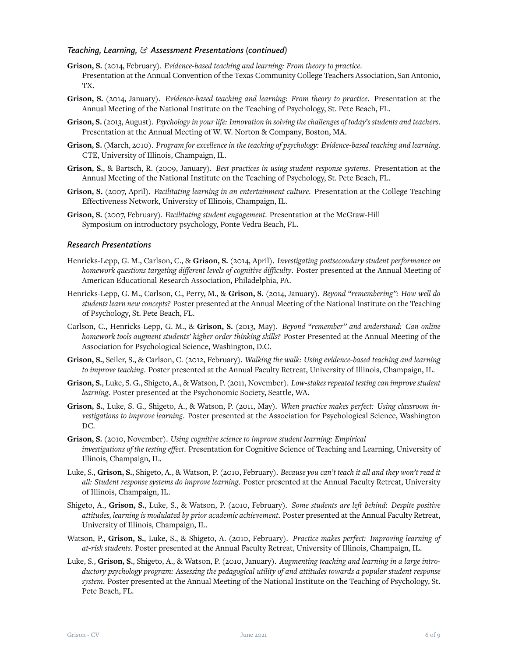# *Teaching, Learning, & Assessment Presentations (continued)*

- **Grison, S.** (2014, February). *Evidence-based teaching and learning: From theory to practice*. Presentation at the Annual Convention of the Texas Community College Teachers Association, San Antonio, TX.
- **Grison, S.** (2014, January). *Evidence-based teaching and learning: From theory to practice*. Presentation at the Annual Meeting of the National Institute on the Teaching of Psychology, St. Pete Beach, FL.
- **Grison, S.**(2013, August). *Psychology in your life: Innovation in solving the challenges of today's students and teachers*. Presentation at the Annual Meeting of W. W. Norton & Company, Boston, MA.
- **Grison, S.** (March, 2010). *Program for excellence in the teaching of psychology: Evidence-based teaching and learning*. CTE, University of Illinois, Champaign, IL.
- **Grison, S.**, & Bartsch, R. (2009, January). *Best practices in using student response systems*. Presentation at the Annual Meeting of the National Institute on the Teaching of Psychology, St. Pete Beach, FL.
- **Grison, S.** (2007, April). *Facilitating learning in an entertainment culture*. Presentation at the College Teaching Effectiveness Network, University of Illinois, Champaign, IL.
- **Grison, S.** (2007, February). *Facilitating student engagement*. Presentation at the McGraw-Hill Symposium on introductory psychology, Ponte Vedra Beach, FL.

# *Research Presentations*

- Henricks-Lepp, G. M., Carlson, C., & **Grison, S.** (2014, April). *Investigating postsecondary student performance on homework questions targeting different levels of cognitive difficulty*. Poster presented at the Annual Meeting of American Educational Research Association, Philadelphia, PA.
- Henricks-Lepp, G. M., Carlson, C., Perry, M., & **Grison, S.** (2014, January). *Beyond "remembering": How well do students learn new concepts?* Poster presented at the Annual Meeting of the National Institute on the Teaching of Psychology, St. Pete Beach, FL.
- Carlson, C., Henricks-Lepp, G. M., & **Grison, S.** (2013, May). *Beyond "remember" and understand: Can online homework tools augment students' higher order thinking skills?* Poster Presented at the Annual Meeting of the Association for Psychological Science, Washington, D.C.
- **Grison, S.**, Seiler, S., & Carlson, C. (2012, February). *Walking the walk: Using evidence-based teaching and learning to improve teaching*. Poster presented at the Annual Faculty Retreat, University of Illinois, Champaign, IL.
- **Grison, S.**, Luke, S. G., Shigeto, A., & Watson, P. (2011, November). *Low-stakes repeated testing can improve student learning*. Poster presented at the Psychonomic Society, Seattle, WA.
- **Grison, S.**, Luke, S. G., Shigeto, A., & Watson, P. (2011, May). *When practice makes perfect: Using classroom investigations to improve learning*. Poster presented at the Association for Psychological Science, Washington DC.
- **Grison, S.** (2010, November). *Using cognitive science to improve student learning: Empirical investigations of the testing effect*. Presentation for Cognitive Science of Teaching and Learning, University of Illinois, Champaign, IL.
- Luke, S., **Grison, S.**, Shigeto, A., & Watson, P. (2010, February). *Because you can't teach it all and they won't read it all: Student response systems do improve learning*. Poster presented at the Annual Faculty Retreat, University of Illinois, Champaign, IL.
- Shigeto, A., **Grison, S.**, Luke, S., & Watson, P. (2010, February). *Some students are left behind: Despite positive attitudes, learning is modulated by prior academic achievement*. Poster presented at the Annual Faculty Retreat, University of Illinois, Champaign, IL.
- Watson, P., **Grison, S.**, Luke, S., & Shigeto, A. (2010, February). *Practice makes perfect: Improving learning of at-risk students*. Poster presented at the Annual Faculty Retreat, University of Illinois, Champaign, IL.
- Luke, S., **Grison, S.**, Shigeto, A., & Watson, P. (2010, January). *Augmenting teaching and learning in a large introductory psychology program: Assessing the pedagogical utility of and attitudes towards a popular student response system*. Poster presented at the Annual Meeting of the National Institute on the Teaching of Psychology, St. Pete Beach, FL.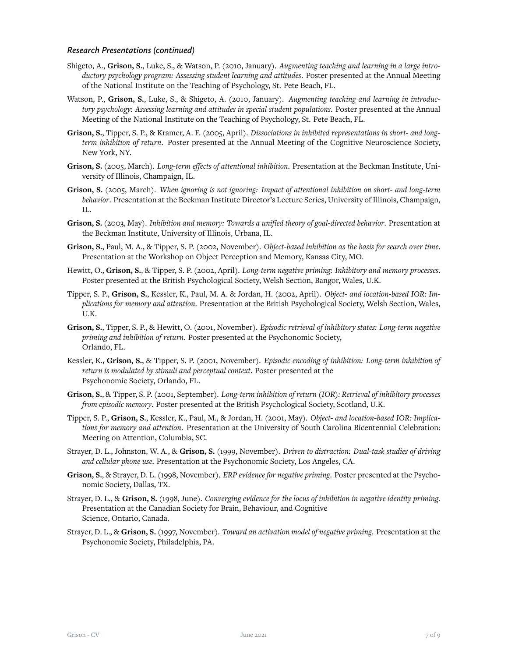# *Research Presentations (continued)*

- Shigeto, A., **Grison, S.**, Luke, S., & Watson, P. (2010, January). *Augmenting teaching and learning in a large introductory psychology program: Assessing student learning and attitudes*. Poster presented at the Annual Meeting of the National Institute on the Teaching of Psychology, St. Pete Beach, FL.
- Watson, P., **Grison, S.**, Luke, S., & Shigeto, A. (2010, January). *Augmenting teaching and learning in introductory psychology: Assessing learning and attitudes in special student populations*. Poster presented at the Annual Meeting of the National Institute on the Teaching of Psychology, St. Pete Beach, FL.
- **Grison, S.**, Tipper, S. P., & Kramer, A. F. (2005, April). *Dissociations in inhibited representations in short- and longterm inhibition of return*. Poster presented at the Annual Meeting of the Cognitive Neuroscience Society, New York, NY.
- **Grison, S.** (2005, March). *Long-term effects of attentional inhibition*. Presentation at the Beckman Institute, University of Illinois, Champaign, IL.
- **Grison, S.** (2005, March). *When ignoring is not ignoring: Impact of attentional inhibition on short- and long-term behavior*. Presentation at the Beckman Institute Director's Lecture Series, University of Illinois, Champaign, IL.
- **Grison, S.** (2003, May). *Inhibition and memory: Towards a unified theory of goal-directed behavior*. Presentation at the Beckman Institute, University of Illinois, Urbana, IL.
- **Grison, S.**, Paul, M. A., & Tipper, S. P. (2002, November). *Object-based inhibition as the basis for search over time*. Presentation at the Workshop on Object Perception and Memory, Kansas City, MO.
- Hewitt, O., **Grison, S.**, & Tipper, S. P. (2002, April). *Long-term negative priming: Inhibitory and memory processes*. Poster presented at the British Psychological Society, Welsh Section, Bangor, Wales, U.K.
- Tipper, S. P., **Grison, S.**, Kessler, K., Paul, M. A. & Jordan, H. (2002, April). *Object- and location-based IOR: Implications for memory and attention*. Presentation at the British Psychological Society, Welsh Section, Wales, U.K.
- **Grison, S.**, Tipper, S. P., & Hewitt, O. (2001, November). *Episodic retrieval of inhibitory states: Long-term negative priming and inhibition of return*. Poster presented at the Psychonomic Society, Orlando, FL.
- Kessler, K., **Grison, S.**, & Tipper, S. P. (2001, November). *Episodic encoding of inhibition: Long-term inhibition of return is modulated by stimuli and perceptual context*. Poster presented at the Psychonomic Society, Orlando, FL.
- **Grison, S.**, & Tipper, S. P. (2001, September). *Long-term inhibition of return (IOR): Retrieval of inhibitory processes from episodic memory*. Poster presented at the British Psychological Society, Scotland, U.K.
- Tipper, S. P., **Grison, S.**, Kessler, K., Paul, M., & Jordan, H. (2001, May). *Object- and location-based IOR: Implications for memory and attention*. Presentation at the University of South Carolina Bicentennial Celebration: Meeting on Attention, Columbia, SC.
- Strayer, D. L., Johnston, W. A., & **Grison, S.** (1999, November). *Driven to distraction: Dual-task studies of driving and cellular phone use*. Presentation at the Psychonomic Society, Los Angeles, CA.
- **Grison, S.**, & Strayer, D. L. (1998, November). *ERP evidence for negative priming*. Poster presented at the Psychonomic Society, Dallas, TX.
- Strayer, D. L., & **Grison, S.** (1998, June). *Converging evidence for the locus of inhibition in negative identity priming*. Presentation at the Canadian Society for Brain, Behaviour, and Cognitive Science, Ontario, Canada.
- Strayer, D. L., & **Grison, S.** (1997, November). *Toward an activation model of negative priming*. Presentation at the Psychonomic Society, Philadelphia, PA.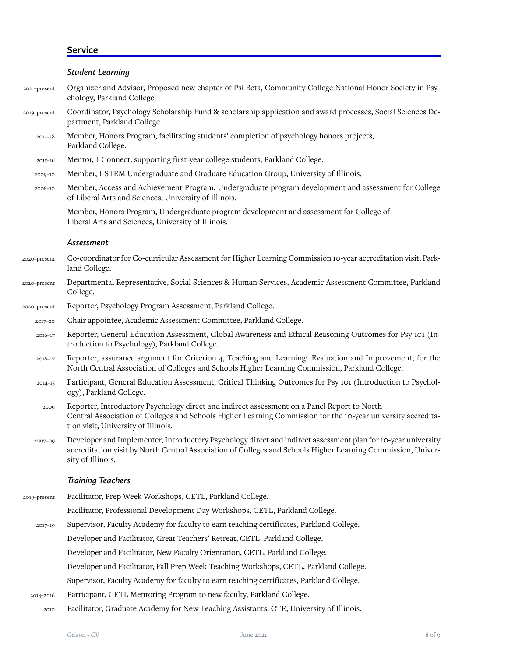# **Service**

|              | <b>Student Learning</b>                                                                                                                                                                                                                            |
|--------------|----------------------------------------------------------------------------------------------------------------------------------------------------------------------------------------------------------------------------------------------------|
| 2021-present | Organizer and Advisor, Proposed new chapter of Psi Beta, Community College National Honor Society in Psy-<br>chology, Parkland College                                                                                                             |
| 2019-present | Coordinator, Psychology Scholarship Fund & scholarship application and award processes, Social Sciences De-<br>partment, Parkland College.                                                                                                         |
| $2014 - 18$  | Member, Honors Program, facilitating students' completion of psychology honors projects,<br>Parkland College.                                                                                                                                      |
| $2015 - 16$  | Mentor, I-Connect, supporting first-year college students, Parkland College.                                                                                                                                                                       |
| 2009-10      | Member, I-STEM Undergraduate and Graduate Education Group, University of Illinois.                                                                                                                                                                 |
| 2008-10      | Member, Access and Achievement Program, Undergraduate program development and assessment for College<br>of Liberal Arts and Sciences, University of Illinois.                                                                                      |
|              | Member, Honors Program, Undergraduate program development and assessment for College of<br>Liberal Arts and Sciences, University of Illinois.                                                                                                      |
|              | Assessment                                                                                                                                                                                                                                         |
| 2020-present | Co-coordinator for Co-curricular Assessment for Higher Learning Commission 10-year accreditation visit, Park-<br>land College.                                                                                                                     |
| 2020-present | Departmental Representative, Social Sciences & Human Services, Academic Assessment Committee, Parkland<br>College.                                                                                                                                 |
| 2020-present | Reporter, Psychology Program Assessment, Parkland College.                                                                                                                                                                                         |
| 2017-20      | Chair appointee, Academic Assessment Committee, Parkland College.                                                                                                                                                                                  |
| $2016 - 17$  | Reporter, General Education Assessment, Global Awareness and Ethical Reasoning Outcomes for Psy 101 (In-<br>troduction to Psychology), Parkland College.                                                                                           |
| $2016 - 17$  | Reporter, assurance argument for Criterion 4, Teaching and Learning: Evaluation and Improvement, for the<br>North Central Association of Colleges and Schools Higher Learning Commission, Parkland College.                                        |
| $2014 - 15$  | Participant, General Education Assessment, Critical Thinking Outcomes for Psy 101 (Introduction to Psychol-<br>ogy), Parkland College.                                                                                                             |
| 2009         | Reporter, Introductory Psychology direct and indirect assessment on a Panel Report to North<br>Central Association of Colleges and Schools Higher Learning Commission for the 10-year university accredita-<br>tion visit, University of Illinois. |
| 2007-09      | Developer and Implementer, Introductory Psychology direct and indirect assessment plan for 10-year university<br>accreditation visit by North Central Association of Colleges and Schools Higher Learning Commission, Univer-<br>sity of Illinois. |
|              | <b>Training Teachers</b>                                                                                                                                                                                                                           |
| 2019-present | Facilitator, Prep Week Workshops, CETL, Parkland College.                                                                                                                                                                                          |
|              | Facilitator, Professional Development Day Workshops, CETL, Parkland College.                                                                                                                                                                       |
| 2017-19      | Supervisor, Faculty Academy for faculty to earn teaching certificates, Parkland College.                                                                                                                                                           |
|              | Developer and Facilitator, Great Teachers' Retreat, CETL, Parkland College.                                                                                                                                                                        |
|              | Developer and Facilitator, New Faculty Orientation, CETL, Parkland College.                                                                                                                                                                        |
|              | Developer and Facilitator, Fall Prep Week Teaching Workshops, CETL, Parkland College.                                                                                                                                                              |
|              | Supervisor, Faculty Academy for faculty to earn teaching certificates, Parkland College.                                                                                                                                                           |
| 2014-2016    | Participant, CETL Mentoring Program to new faculty, Parkland College.                                                                                                                                                                              |

2010 Facilitator, Graduate Academy for New Teaching Assistants, CTE, University of Illinois.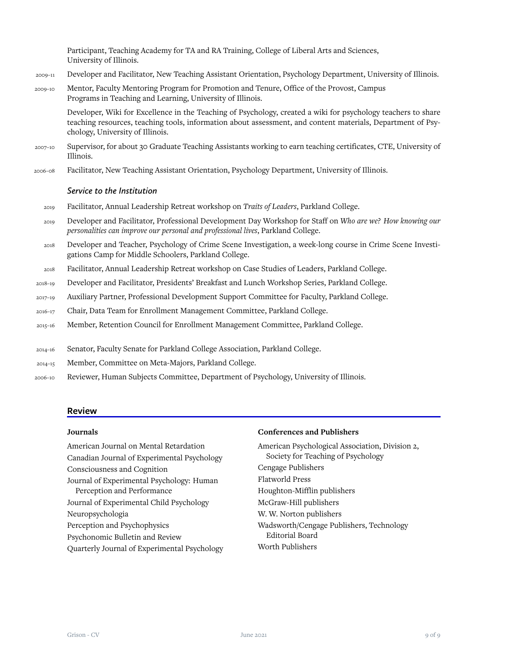Participant, Teaching Academy for TA and RA Training, College of Liberal Arts and Sciences, University of Illinois.

- 2009–11 Developer and Facilitator, New Teaching Assistant Orientation, Psychology Department, University of Illinois.
- 2009–10 Mentor, Faculty Mentoring Program for Promotion and Tenure, Office of the Provost, Campus Programs in Teaching and Learning, University of Illinois.

Developer, Wiki for Excellence in the Teaching of Psychology, created a wiki for psychology teachers to share teaching resources, teaching tools, information about assessment, and content materials, Department of Psychology, University of Illinois.

- 2007–10 Supervisor, for about 30 Graduate Teaching Assistants working to earn teaching certificates, CTE, University of Illinois.
- 2006–08 Facilitator, New Teaching Assistant Orientation, Psychology Department, University of Illinois.

#### *Service to the Institution*

- 2019 Facilitator, Annual Leadership Retreat workshop on *Traits of Leaders*, Parkland College.
- 2019 Developer and Facilitator, Professional Development Day Workshop for Staff on *Who are we? How knowing our personalities can improve our personal and professional lives*, Parkland College.
- 2018 Developer and Teacher, Psychology of Crime Scene Investigation, a week-long course in Crime Scene Investigations Camp for Middle Schoolers, Parkland College.
- 2018 Facilitator, Annual Leadership Retreat workshop on Case Studies of Leaders, Parkland College.
- 2018–19 Developer and Facilitator, Presidents' Breakfast and Lunch Workshop Series, Parkland College.
- 2017–19 Auxiliary Partner, Professional Development Support Committee for Faculty, Parkland College.
- 2016–17 Chair, Data Team for Enrollment Management Committee, Parkland College.
- 2015–16 Member, Retention Council for Enrollment Management Committee, Parkland College.
- 2014–16 Senator, Faculty Senate for Parkland College Association, Parkland College.
- 2014–15 Member, Committee on Meta-Majors, Parkland College.
- 2006–10 Reviewer, Human Subjects Committee, Department of Psychology, University of Illinois.

## **Review**

## **Journals**

American Journal on Mental Retardation Canadian Journal of Experimental Psychology Consciousness and Cognition Journal of Experimental Psychology: Human Perception and Performance Journal of Experimental Child Psychology Neuropsychologia Perception and Psychophysics Psychonomic Bulletin and Review Quarterly Journal of Experimental Psychology

#### **Conferences and Publishers**

American Psychological Association, Division 2, Society for Teaching of Psychology Cengage Publishers Flatworld Press Houghton-Mifflin publishers McGraw-Hill publishers W. W. Norton publishers Wadsworth/Cengage Publishers, Technology Editorial Board Worth Publishers